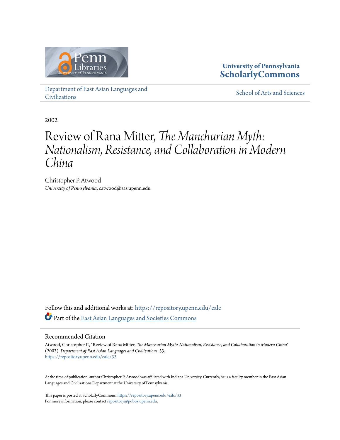

### **University of Pennsylvania [ScholarlyCommons](https://repository.upenn.edu?utm_source=repository.upenn.edu%2Fealc%2F33&utm_medium=PDF&utm_campaign=PDFCoverPages)**

[Department of East Asian Languages and](https://repository.upenn.edu/ealc?utm_source=repository.upenn.edu%2Fealc%2F33&utm_medium=PDF&utm_campaign=PDFCoverPages) [Civilizations](https://repository.upenn.edu/ealc?utm_source=repository.upenn.edu%2Fealc%2F33&utm_medium=PDF&utm_campaign=PDFCoverPages)

[School of Arts and Sciences](https://repository.upenn.edu/sas?utm_source=repository.upenn.edu%2Fealc%2F33&utm_medium=PDF&utm_campaign=PDFCoverPages)

2002

### Review of Rana Mitter, *The Manchurian Myth: Nationalism, Resistance, and Collaboration in Modern China*

Christopher P. Atwood *University of Pennsylvania*, catwood@sas.upenn.edu

Follow this and additional works at: [https://repository.upenn.edu/ealc](https://repository.upenn.edu/ealc?utm_source=repository.upenn.edu%2Fealc%2F33&utm_medium=PDF&utm_campaign=PDFCoverPages) Part of the [East Asian Languages and Societies Commons](http://network.bepress.com/hgg/discipline/481?utm_source=repository.upenn.edu%2Fealc%2F33&utm_medium=PDF&utm_campaign=PDFCoverPages)

#### Recommended Citation

Atwood, Christopher P., "Review of Rana Mitter, *The Manchurian Myth: Nationalism, Resistance, and Collaboration in Modern China*" (2002). *Department of East Asian Languages and Civilizations*. 33. [https://repository.upenn.edu/ealc/33](https://repository.upenn.edu/ealc/33?utm_source=repository.upenn.edu%2Fealc%2F33&utm_medium=PDF&utm_campaign=PDFCoverPages)

At the time of publication, author Christopher P. Atwood was affiliated with Indiana University. Currently, he is a faculty member in the East Asian Languages and Civilizations Department at the University of Pennsylvania.

This paper is posted at ScholarlyCommons. <https://repository.upenn.edu/ealc/33> For more information, please contact [repository@pobox.upenn.edu.](mailto:repository@pobox.upenn.edu)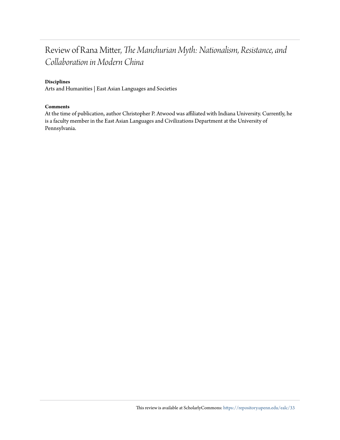### Review of Rana Mitter, *The Manchurian Myth: Nationalism, Resistance, and Collaboration in Modern China*

#### **Disciplines**

Arts and Humanities | East Asian Languages and Societies

#### **Comments**

At the time of publication, author Christopher P. Atwood was affiliated with Indiana University. Currently, he is a faculty member in the East Asian Languages and Civilizations Department at the University of Pennsylvania.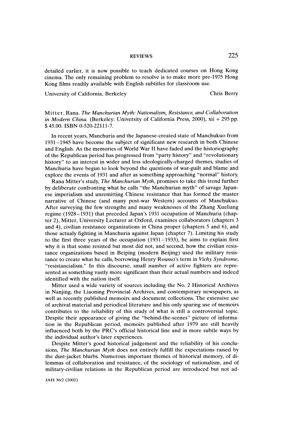# REVIEWS 225

 detailed earlier, it is now possible to teach dedicated courses on Hong Kong cinema. The only remaining problem to resolve is to make more pre-1975 Hong Kong films readily available with English subtitles for classroom use.

University of California, Berkeley Chris Berry

 Mit ter, Rana. The Manchurian Myth: Nationalism, Resistance, and Collaboration in Modern China. (Berkeley: University of California Press, 2000), xii + 295 pp. \$ 45.00. ISBN 0-520-22111-7.

 In recent years, Manchuria and the Japanese-created state of Manchukuo from 1931-1945 have become the subject of significant new research in both Chinese and English. As the memories of World War II have faded and the historiography of the Republican period has progressed from "party history" and "revolutionary history" to an interest in wider and less ideologically-charged themes, studies of Manchuria have begun to look beyond the questions of war-guilt and blame and explore the events of 1931 and after as something approaching "normal" history.

Rana Mitter's study, The Manchurian Myth, promises to take this trend further by deliberate confronting what he calls "the Manchurian myth" of savage Japan ese imperialism and unremitting Chinese resistance that has formed the master narrative of Chinese (and many post-war Western) accounts of Manchukuo. After surveying the few strengths and many weaknesses of the Zhang Xueliang regime (1928-1931) that preceded Japan's 1931 occupation of Manchuria (chap ter 2), Mitter, University Lecturer at Oxford, examines collaborators (chapters 3 and 4), civilian resistance organizations in China proper (chapters 5 and 6), and those actualy fighting in Manchuria against Japan (chapter 7). Limiting his study to the first three years of the occupation (1931-1933), he aims to explain first why it is that some resisted but most did not, and second, how the civilian resis tance organizations based in Beiping (modern Beijing) used the military resis tance to create what he calls, borrowing Henry Rousso's term in Vichy Syndrome, "resistancialism." In this discourse, small number of active fighters are repre sented as something vastly more significant than their actual numbers and indeed identified with the nation itself.

 Mitter used a wide variety of sources including the No. 2 Historical Archives in Nanjing, the Liaoning Provincial Archives, and contemporary newspapers, as well as recently published memoirs and document collections. The extensive use of archival material and periodical literature and his only sparing use of memoirs contributes to the reliability of this study of what is still a controversial topic. Despite their appearance of giving the "behind-the-scenes" picture of informa tion in the Republican period, memoirs published after 1979 are still heavily influenced both by the PRC's official historical line and in more subtle ways by the individual author's later experiences.

 Despite Mitter's good historical judgement and the reliability of his conclu sions, The Manchurian Myth does not entirely fulfill the expectations raised by the dust-jacket blurbs. Numerous important themes of historical memory, of di lemmas of collaboration and resistance, of the sociology of nationalism, and of military-civilian relations in the Republican period are introduced but not ad-

JAH 36/2 (2002)